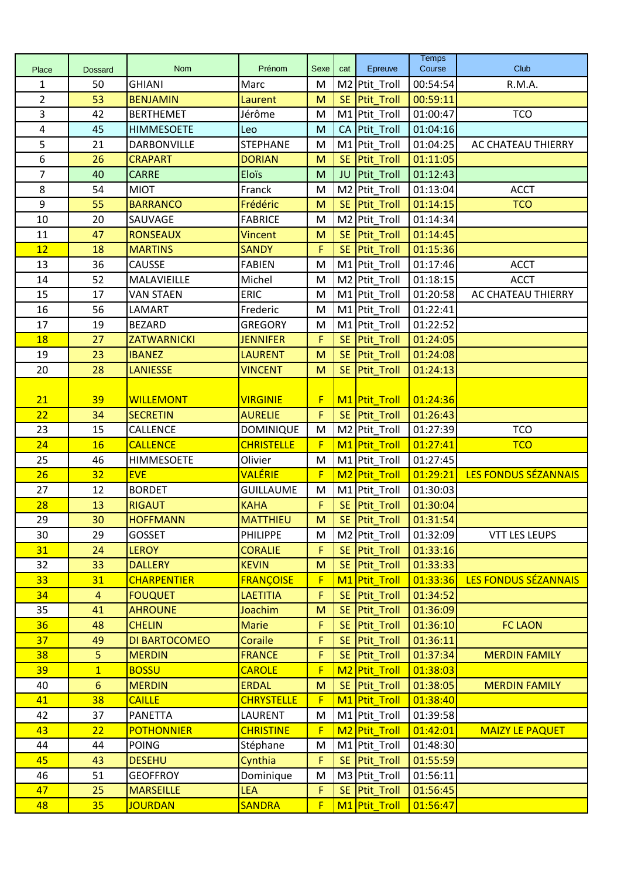|                |                |                    |                   |             |                |                           | <b>Temps</b> |                             |
|----------------|----------------|--------------------|-------------------|-------------|----------------|---------------------------|--------------|-----------------------------|
| Place          | <b>Dossard</b> | <b>Nom</b>         | Prénom            | Sexe        | cat            | Epreuve                   | Course       | Club                        |
| 1              | 50             | <b>GHIANI</b>      | Marc              | M           | M <sub>2</sub> | Ptit_Troll                | 00:54:54     | R.M.A.                      |
| $\overline{2}$ | 53             | <b>BENJAMIN</b>    | Laurent           | M           | <b>SE</b>      | Ptit_Troll                | 00:59:11     |                             |
| 3              | 42             | <b>BERTHEMET</b>   | Jérôme            | M           | M1             | Ptit_Troll                | 01:00:47     | <b>TCO</b>                  |
| 4              | 45             | <b>HIMMESOETE</b>  | Leo               | M           | CA             | Ptit_Troll                | 01:04:16     |                             |
| 5              | 21             | DARBONVILLE        | <b>STEPHANE</b>   | M           | M1             | Ptit_Troll                | 01:04:25     | AC CHATEAU THIERRY          |
| 6              | 26             | <b>CRAPART</b>     | <b>DORIAN</b>     | M           | <b>SE</b>      | Ptit_Troll                | 01:11:05     |                             |
| $\overline{7}$ | 40             | <b>CARRE</b>       | <b>Eloïs</b>      | M           | JU             | Ptit_Troll                | 01:12:43     |                             |
| 8              | 54             | <b>MIOT</b>        | Franck            | M           | M <sub>2</sub> | Ptit_Troll                | 01:13:04     | <b>ACCT</b>                 |
| 9              | 55             | <b>BARRANCO</b>    | Frédéric          | M           | <b>SE</b>      | <b>Ptit Troll</b>         | 01:14:15     | <b>TCO</b>                  |
| 10             | 20             | SAUVAGE            | <b>FABRICE</b>    | M           | M <sub>2</sub> | Ptit_Troll                | 01:14:34     |                             |
| 11             | 47             | <b>RONSEAUX</b>    | <b>Vincent</b>    | M           | <b>SE</b>      | Ptit_Troll                | 01:14:45     |                             |
| 12             | 18             | <b>MARTINS</b>     | <b>SANDY</b>      | F           | <b>SE</b>      | Ptit_Troll                | 01:15:36     |                             |
| 13             | 36             | CAUSSE             | <b>FABIEN</b>     | M           | M1             | Ptit_Troll                | 01:17:46     | <b>ACCT</b>                 |
| 14             | 52             | MALAVIEILLE        | Michel            | M           |                | M <sub>2</sub> Ptit Troll | 01:18:15     | <b>ACCT</b>                 |
| 15             | 17             | <b>VAN STAEN</b>   | <b>ERIC</b>       | M           |                | M1 Ptit_Troll             | 01:20:58     | AC CHATEAU THIERRY          |
| 16             | 56             | LAMART             | Frederic          | M           |                | M1 Ptit_Troll             | 01:22:41     |                             |
| 17             | 19             | <b>BEZARD</b>      | <b>GREGORY</b>    | M           | M1             | Ptit Troll                | 01:22:52     |                             |
| 18             | 27             | <b>ZATWARNICKI</b> | <b>JENNIFER</b>   | F           | <b>SE</b>      | Ptit_Troll                | 01:24:05     |                             |
| 19             | 23             | <b>IBANEZ</b>      | <b>LAURENT</b>    | M           | <b>SE</b>      | Ptit_Troll                | 01:24:08     |                             |
| 20             | 28             | <b>LANIESSE</b>    | <b>VINCENT</b>    | M           | <b>SE</b>      | Ptit_Troll                | 01:24:13     |                             |
|                |                |                    |                   |             |                |                           |              |                             |
| 21             | 39             | <b>WILLEMONT</b>   | <b>VIRGINIE</b>   | $\mathsf F$ |                | M1 Ptit_Troll             | 01:24:36     |                             |
| 22             | 34             | <b>SECRETIN</b>    | <b>AURELIE</b>    | F           | <b>SE</b>      | Ptit_Troll                | 01:26:43     |                             |
| 23             | 15             | <b>CALLENCE</b>    | DOMINIQUE         | M           |                | M2 Ptit_Troll             | 01:27:39     | <b>TCO</b>                  |
| 24             | 16             | <b>CALLENCE</b>    | <b>CHRISTELLE</b> | F           |                | M <sub>1</sub> Ptit_Troll | 01:27:41     | <b>TCO</b>                  |
| 25             | 46             | <b>HIMMESOETE</b>  | Olivier           | M           |                | M1 Ptit_Troll             | 01:27:45     |                             |
| 26             | 32             | <b>EVE</b>         | <b>VALÉRIE</b>    | $\mathsf F$ | M <sub>2</sub> | Ptit_Troll                | 01:29:21     | <b>LES FONDUS SÉZANNAIS</b> |
| 27             | 12             | <b>BORDET</b>      | <b>GUILLAUME</b>  | M           |                | M1 Ptit_Troll             | 01:30:03     |                             |
| 28             | 13             | <b>RIGAUT</b>      | <b>KAHA</b>       | F           | <b>SE</b>      | Ptit_Troll                | 01:30:04     |                             |
| 29             | 30             | <b>HOFFMANN</b>    | <b>MATTHIEU</b>   | ${\sf M}$   |                | SE Ptit_Troll             | 01:31:54     |                             |
| 30             | 29             | <b>GOSSET</b>      | <b>PHILIPPE</b>   | M           |                | M2 Ptit_Troll             | 01:32:09     | <b>VTT LES LEUPS</b>        |
| 31             | 24             | <b>LEROY</b>       | <b>CORALIE</b>    | F.          |                | SE Ptit_Troll             | 01:33:16     |                             |
| 32             | 33             | <b>DALLERY</b>     | <b>KEVIN</b>      | M           | SE.            | Ptit_Troll                | 01:33:33     |                             |
| 33             | 31             | <b>CHARPENTIER</b> | <b>FRANÇOISE</b>  | F           | M1             | Ptit_Troll                | 01:33:36     | <b>LES FONDUS SÉZANNAIS</b> |
| 34             | $\overline{4}$ | <b>FOUQUET</b>     | <b>LAETITIA</b>   | F           | <b>SE</b>      | Ptit_Troll                | 01:34:52     |                             |
| 35             | 41             | <b>AHROUNE</b>     | Joachim           | M           | <b>SE</b>      | Ptit_Troll                | 01:36:09     |                             |
| 36             | 48             | <b>CHELIN</b>      | <b>Marie</b>      | $\mathsf F$ | <b>SE</b>      | Ptit_Troll                | 01:36:10     | <b>FC LAON</b>              |
| 37             | 49             | DI BARTOCOMEO      | Coraile           | F           | <b>SE</b>      | Ptit_Troll                | 01:36:11     |                             |
| 38             | 5              | <b>MERDIN</b>      | <b>FRANCE</b>     | F           | <b>SE</b>      | Ptit_Troll                | 01:37:34     | <b>MERDIN FAMILY</b>        |
| 39             | $\overline{1}$ | <b>BOSSU</b>       | <b>CAROLE</b>     | F           |                | M <sub>2</sub> Ptit_Troll | 01:38:03     |                             |
| 40             | 6              | <b>MERDIN</b>      | <b>ERDAL</b>      | M           | SE.            | Ptit_Troll                | 01:38:05     | <b>MERDIN FAMILY</b>        |
| 41             | 38             | <b>CAILLE</b>      | <b>CHRYSTELLE</b> | F           | M1             | <b>Ptit_Troll</b>         | 01:38:40     |                             |
| 42             | 37             | PANETTA            | LAURENT           | M           |                | M1 Ptit_Troll             | 01:39:58     |                             |
| 43             | 22             | <b>POTHONNIER</b>  | <b>CHRISTINE</b>  | F           | M2             | Ptit_Troll                | 01:42:01     | <b>MAIZY LE PAQUET</b>      |
| 44             | 44             | <b>POING</b>       | Stéphane          | M           |                | M1 Ptit_Troll             | 01:48:30     |                             |
| 45             | 43             | <b>DESEHU</b>      | Cynthia           | F           | SE.            | Ptit_Troll                | 01:55:59     |                             |
| 46             | 51             | <b>GEOFFROY</b>    | Dominique         | M           |                | M3 Ptit_Troll             | 01:56:11     |                             |
| 47             | 25             | <b>MARSEILLE</b>   | <b>LEA</b>        | F           |                | SE Ptit_Troll             | 01:56:45     |                             |
| 48             | 35             | <b>JOURDAN</b>     | <b>SANDRA</b>     | $\mathsf F$ |                | M <sub>1</sub> Ptit Troll | 01:56:47     |                             |
|                |                |                    |                   |             |                |                           |              |                             |